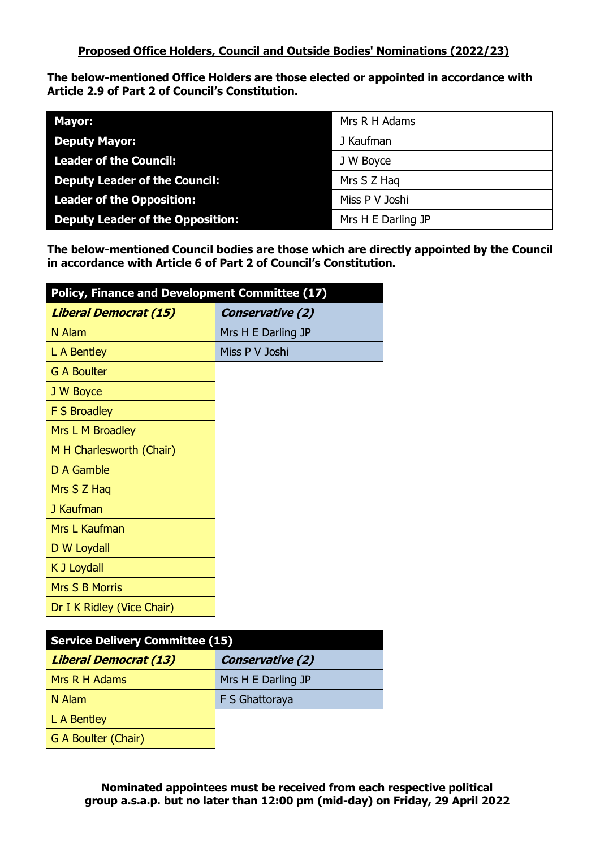**The below-mentioned Office Holders are those elected or appointed in accordance with Article 2.9 of Part 2 of Council's Constitution.**

| <b>Mayor:</b>                           | Mrs R H Adams      |
|-----------------------------------------|--------------------|
| <b>Deputy Mayor:</b>                    | J Kaufman          |
| <b>Leader of the Council:</b>           | J W Boyce          |
| <b>Deputy Leader of the Council:</b>    | Mrs S Z Hag        |
| <b>Leader of the Opposition:</b>        | Miss P V Joshi     |
| <b>Deputy Leader of the Opposition:</b> | Mrs H E Darling JP |

**The below-mentioned Council bodies are those which are directly appointed by the Council in accordance with Article 6 of Part 2 of Council's Constitution.**

| Policy, Finance and Development Committee (17) |                         |
|------------------------------------------------|-------------------------|
| <b>Liberal Democrat (15)</b>                   | <b>Conservative (2)</b> |
| N Alam                                         | Mrs H E Darling JP      |
| L A Bentley                                    | Miss P V Joshi          |
| <b>G A Boulter</b>                             |                         |
| J W Boyce                                      |                         |
| <b>F S Broadley</b>                            |                         |
| Mrs L M Broadley                               |                         |
| M H Charlesworth (Chair)                       |                         |
| D A Gamble                                     |                         |
| Mrs S Z Haq                                    |                         |
| J Kaufman                                      |                         |
| Mrs L Kaufman                                  |                         |
| D W Loydall                                    |                         |
| K J Loydall                                    |                         |
| <b>Mrs S B Morris</b>                          |                         |
| Dr I K Ridley (Vice Chair)                     |                         |

| <b>Service Delivery Committee (15)</b> |                         |
|----------------------------------------|-------------------------|
| <b>Liberal Democrat (13)</b>           | <b>Conservative (2)</b> |
| Mrs R H Adams                          | Mrs H E Darling JP      |
| N Alam                                 | F S Ghattoraya          |
| L A Bentley                            |                         |
| G A Boulter (Chair)                    |                         |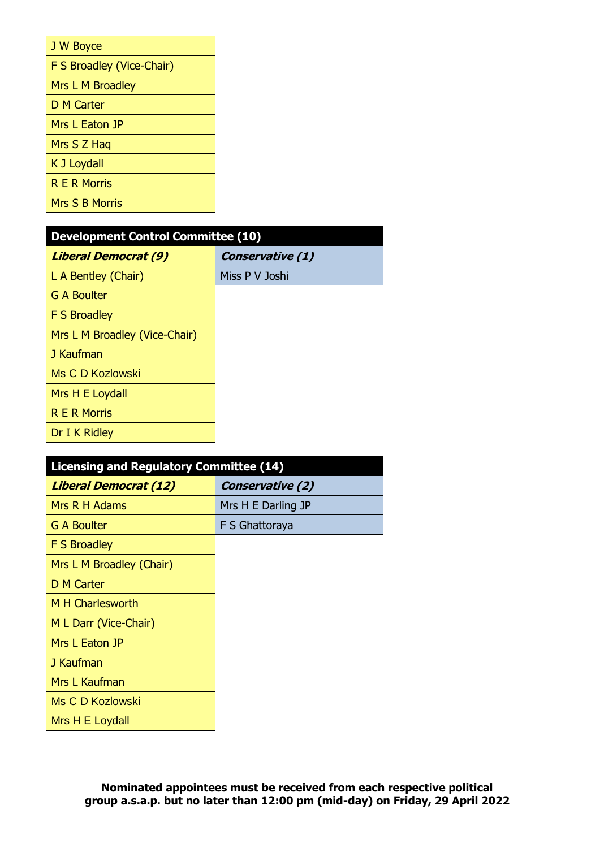| J W Boyce                 |
|---------------------------|
| F S Broadley (Vice-Chair) |
| Mrs L M Broadley          |
| <b>D M Carter</b>         |
| Mrs L Eaton JP            |
| Mrs S Z Hag               |
| K J Loydall               |
| <b>R F R Morris</b>       |
| <b>Mrs S B Morris</b>     |

| <b>Development Control Committee (10)</b> |                  |
|-------------------------------------------|------------------|
| <b>Liberal Democrat (9)</b>               | Conservative (1) |
| L A Bentley (Chair)                       | Miss P V Joshi   |
| <b>G A Boulter</b>                        |                  |
| <b>F S Broadley</b>                       |                  |
| Mrs L M Broadley (Vice-Chair)             |                  |
| J Kaufman                                 |                  |
| Ms C D Kozlowski                          |                  |
| Mrs H E Loydall                           |                  |
| <b>R E R Morris</b>                       |                  |
| Dr I K Ridley                             |                  |

| <b>Licensing and Regulatory Committee (14)</b> |                         |
|------------------------------------------------|-------------------------|
| <b>Liberal Democrat (12)</b>                   | <b>Conservative (2)</b> |
| Mrs R H Adams                                  | Mrs H E Darling JP      |
| <b>G A Boulter</b>                             | F S Ghattoraya          |
| <b>F S Broadley</b>                            |                         |
| Mrs L M Broadley (Chair)                       |                         |
| <b>D M Carter</b>                              |                         |
| M H Charlesworth                               |                         |
| M L Darr (Vice-Chair)                          |                         |
| Mrs L Eaton JP                                 |                         |
| J Kaufman                                      |                         |
| Mrs L Kaufman                                  |                         |
| Ms C D Kozlowski                               |                         |
| Mrs H E Loydall                                |                         |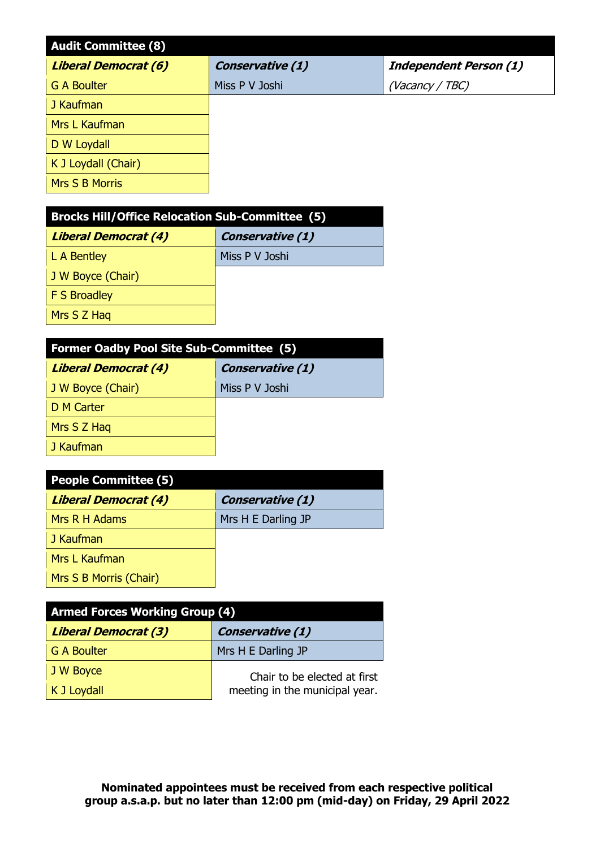| <b>Audit Committee (8)</b>  |                  |                               |
|-----------------------------|------------------|-------------------------------|
| <b>Liberal Democrat (6)</b> | Conservative (1) | <b>Independent Person (1)</b> |
| <b>G A Boulter</b>          | Miss P V Joshi   | (Vacancy / TBC)               |
| J Kaufman                   |                  |                               |
| Mrs L Kaufman               |                  |                               |
| D W Loydall                 |                  |                               |
| K J Loydall (Chair)         |                  |                               |
| Mrs S B Morris              |                  |                               |

| <b>Brocks Hill/Office Relocation Sub-Committee (5)</b> |                  |
|--------------------------------------------------------|------------------|
| <b>Liberal Democrat (4)</b>                            | Conservative (1) |
| L A Bentley                                            | Miss P V Joshi   |
| J W Boyce (Chair)                                      |                  |
| F S Broadley                                           |                  |
| Mrs S Z Hag                                            |                  |

| <b>Former Oadby Pool Site Sub-Committee (5)</b> |                         |
|-------------------------------------------------|-------------------------|
| <b>Liberal Democrat (4)</b>                     | <b>Conservative (1)</b> |
| J W Boyce (Chair)                               | Miss P V Joshi          |
| D M Carter                                      |                         |
| Mrs S Z Hag                                     |                         |
| J Kaufman                                       |                         |
|                                                 |                         |

| <b>People Committee (5)</b> |                         |
|-----------------------------|-------------------------|
| <b>Liberal Democrat (4)</b> | <b>Conservative (1)</b> |
| Mrs R H Adams               | Mrs H E Darling JP      |
| J Kaufman                   |                         |
| <b>Mrs L Kaufman</b>        |                         |
| Mrs S B Morris (Chair)      |                         |

| <b>Armed Forces Working Group (4)</b> |                                |
|---------------------------------------|--------------------------------|
| <b>Liberal Democrat (3)</b>           | <b>Conservative (1)</b>        |
| <b>G A Boulter</b>                    | Mrs H E Darling JP             |
| J W Boyce                             | Chair to be elected at first   |
| K J Loydall                           | meeting in the municipal year. |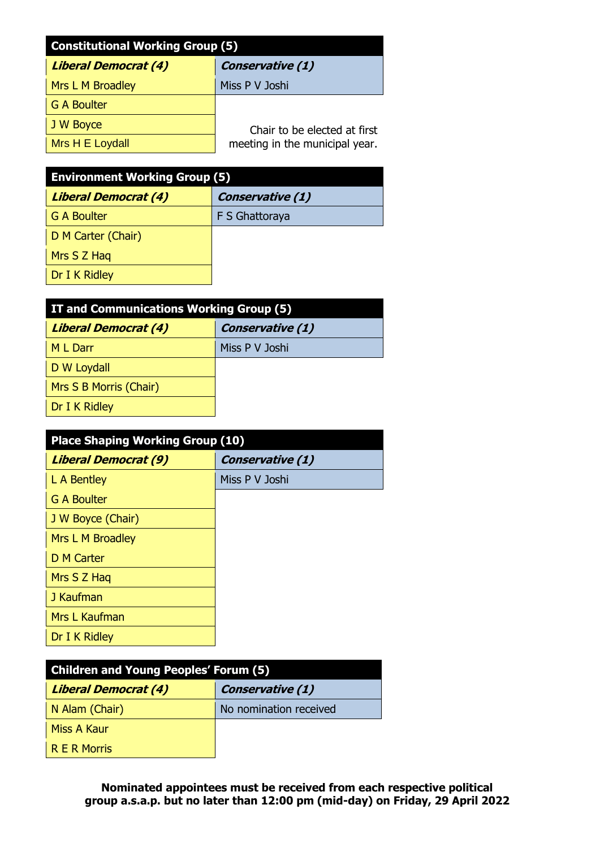| <b>Constitutional Working Group (5)</b> |                                |
|-----------------------------------------|--------------------------------|
| Liberal Democrat (4)                    | Conservative (1)               |
| Mrs L M Broadley                        | Miss P V Joshi                 |
| G A Boulter                             |                                |
| J W Boyce                               | Chair to be elected at first   |
| Mrs H E Loydall                         | meeting in the municipal year. |

| <b>Environment Working Group (5)</b> |                         |  |
|--------------------------------------|-------------------------|--|
| <b>Liberal Democrat (4)</b>          | <b>Conservative (1)</b> |  |
| <b>G A Boulter</b>                   | F S Ghattoraya          |  |
| D M Carter (Chair)                   |                         |  |
| Mrs S Z Hag                          |                         |  |
| Dr I K Ridley                        |                         |  |

| IT and Communications Working Group (5) |                         |  |
|-----------------------------------------|-------------------------|--|
| <b>Liberal Democrat (4)</b>             | <b>Conservative (1)</b> |  |
| M L Darr                                | Miss P V Joshi          |  |
| D W Loydall                             |                         |  |
| Mrs S B Morris (Chair)                  |                         |  |
| Dr I K Ridley                           |                         |  |

| <b>Place Shaping Working Group (10)</b> |                         |  |
|-----------------------------------------|-------------------------|--|
| <b>Liberal Democrat (9)</b>             | <b>Conservative (1)</b> |  |
| L A Bentley                             | Miss P V Joshi          |  |
| <b>G A Boulter</b>                      |                         |  |
| J W Boyce (Chair)                       |                         |  |
| Mrs L M Broadley                        |                         |  |
| <b>D M Carter</b>                       |                         |  |
| Mrs S Z Hag                             |                         |  |
| J Kaufman                               |                         |  |
| Mrs L Kaufman                           |                         |  |
| Dr I K Ridley                           |                         |  |

| <b>Children and Young Peoples' Forum (5)</b> |                         |  |
|----------------------------------------------|-------------------------|--|
| <b>Liberal Democrat (4)</b>                  | <b>Conservative (1)</b> |  |
| N Alam (Chair)                               | No nomination received  |  |
| <b>Miss A Kaur</b>                           |                         |  |
| R E R Morris                                 |                         |  |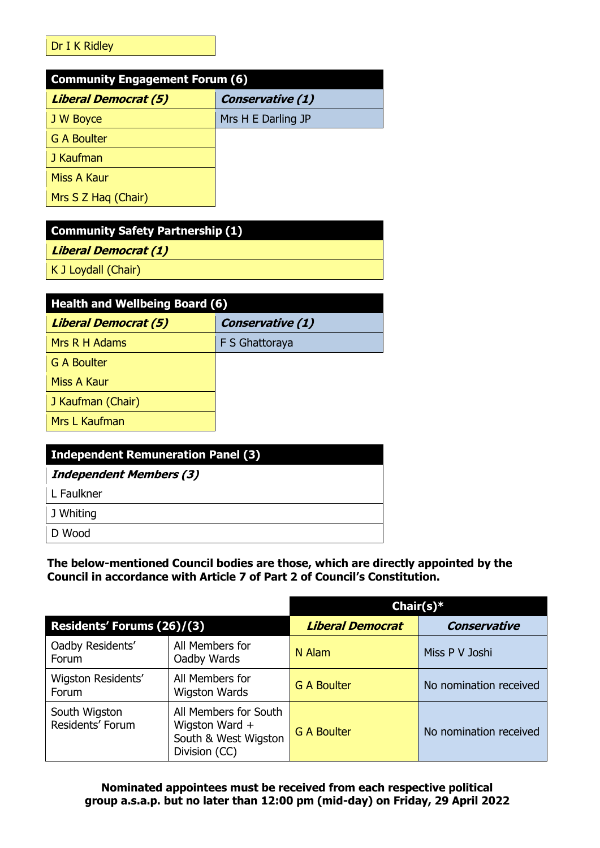## Dr I K Ridley

| <b>Community Engagement Forum (6)</b> |                    |  |
|---------------------------------------|--------------------|--|
| <b>Liberal Democrat (5)</b>           | Conservative (1)   |  |
| J W Boyce                             | Mrs H E Darling JP |  |
| <b>G A Boulter</b>                    |                    |  |
| J Kaufman                             |                    |  |
| Miss A Kaur                           |                    |  |
| Mrs S Z Hag (Chair)                   |                    |  |

| <b>Community Safety Partnership (1)</b> |  |
|-----------------------------------------|--|
| <b>Liberal Democrat (1)</b>             |  |
| K J Loydall (Chair)                     |  |
|                                         |  |

| <b>Health and Wellbeing Board (6)</b> |                         |  |
|---------------------------------------|-------------------------|--|
| <b>Liberal Democrat (5)</b>           | <b>Conservative (1)</b> |  |
| Mrs R H Adams                         | F S Ghattoraya          |  |
| <b>G A Boulter</b>                    |                         |  |
| Miss A Kaur                           |                         |  |
| J Kaufman (Chair)                     |                         |  |
| Mrs L Kaufman                         |                         |  |

| <b>Independent Remuneration Panel (3)</b> |  |
|-------------------------------------------|--|
| <b>Independent Members (3)</b>            |  |
| L Faulkner                                |  |
| J Whiting                                 |  |
| D Wood                                    |  |

**The below-mentioned Council bodies are those, which are directly appointed by the Council in accordance with Article 7 of Part 2 of Council's Constitution.**

|                                   |                                                                                  | Chair(s) $*$            |                        |
|-----------------------------------|----------------------------------------------------------------------------------|-------------------------|------------------------|
| Residents' Forums (26)/(3)        |                                                                                  | <b>Liberal Democrat</b> | <b>Conservative</b>    |
| Oadby Residents'<br>Forum         | All Members for<br>Oadby Wards                                                   | N Alam                  | Miss P V Joshi         |
| Wigston Residents'<br>Forum       | All Members for<br><b>Wigston Wards</b>                                          | <b>G A Boulter</b>      | No nomination received |
| South Wigston<br>Residents' Forum | All Members for South<br>Wigston Ward +<br>South & West Wigston<br>Division (CC) | <b>G A Boulter</b>      | No nomination received |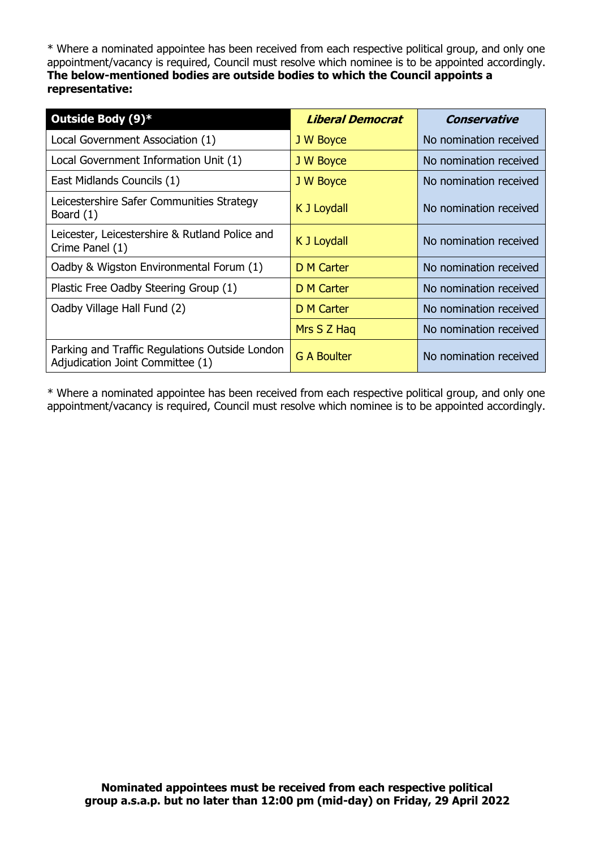\* Where a nominated appointee has been received from each respective political group, and only one appointment/vacancy is required, Council must resolve which nominee is to be appointed accordingly. **The below-mentioned bodies are outside bodies to which the Council appoints a representative:**

| Outside Body (9)*                                                                  | <b>Liberal Democrat</b> | Conservative           |
|------------------------------------------------------------------------------------|-------------------------|------------------------|
| Local Government Association (1)                                                   | J W Boyce               | No nomination received |
| Local Government Information Unit (1)                                              | J W Boyce               | No nomination received |
| East Midlands Councils (1)                                                         | J W Boyce               | No nomination received |
| Leicestershire Safer Communities Strategy<br>Board (1)                             | K J Loydall             | No nomination received |
| Leicester, Leicestershire & Rutland Police and<br>Crime Panel (1)                  | K J Loydall             | No nomination received |
| Oadby & Wigston Environmental Forum (1)                                            | <b>D M Carter</b>       | No nomination received |
| Plastic Free Oadby Steering Group (1)                                              | D M Carter              | No nomination received |
| Oadby Village Hall Fund (2)                                                        | D M Carter              | No nomination received |
|                                                                                    | Mrs S Z Hag             | No nomination received |
| Parking and Traffic Regulations Outside London<br>Adjudication Joint Committee (1) | <b>G A Boulter</b>      | No nomination received |

\* Where a nominated appointee has been received from each respective political group, and only one appointment/vacancy is required, Council must resolve which nominee is to be appointed accordingly.